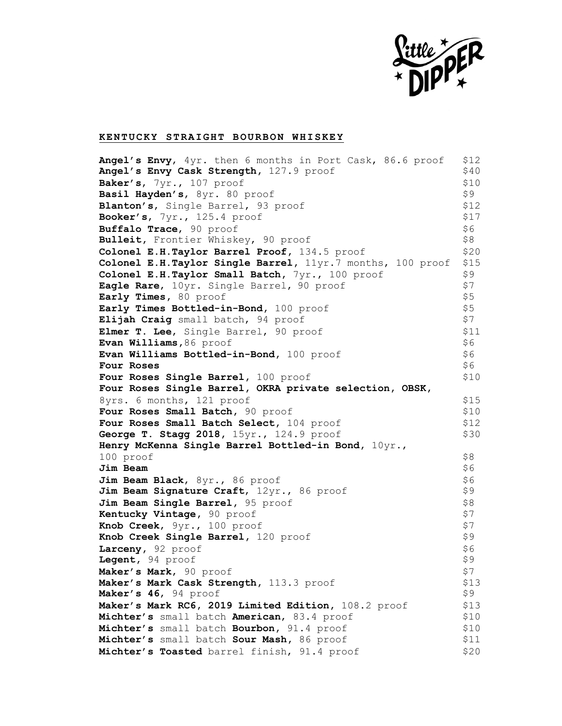

# **KENTUCKY STRAIGHT BOURBON WHISKEY**

| Angel's Envy, 4yr. then 6 months in Port Cask, 86.6 proof  | \$12 |
|------------------------------------------------------------|------|
| Angel's Envy Cask Strength, 127.9 proof                    | \$40 |
| Baker's, 7yr., 107 proof                                   | \$10 |
| Basil Hayden's, 8yr. 80 proof                              | \$9  |
| Blanton's, Single Barrel, 93 proof                         | \$12 |
| Booker's, 7yr., 125.4 proof                                | \$17 |
| Buffalo Trace, 90 proof                                    | \$6  |
| Bulleit, Frontier Whiskey, 90 proof                        | \$8  |
| Colonel E.H. Taylor Barrel Proof, 134.5 proof              | \$20 |
| Colonel E.H.Taylor Single Barrel, 11yr.7 months, 100 proof | \$15 |
| Colonel E.H. Taylor Small Batch, 7yr., 100 proof           | \$9  |
| Eagle Rare, 10yr. Single Barrel, 90 proof                  | \$7  |
| Early Times, 80 proof                                      | \$5  |
| Early Times Bottled-in-Bond, 100 proof                     | \$5  |
| Elijah Craig small batch, 94 proof                         | \$7  |
| Elmer T. Lee, Single Barrel, 90 proof                      | \$11 |
| Evan Williams, 86 proof                                    | \$6  |
| Evan Williams Bottled-in-Bond, 100 proof                   | \$6  |
| Four Roses                                                 | \$6  |
| Four Roses Single Barrel, 100 proof                        | \$10 |
| Four Roses Single Barrel, OKRA private selection, OBSK,    |      |
| 8yrs. 6 months, 121 proof                                  | \$15 |
| Four Roses Small Batch, 90 proof                           | \$10 |
| Four Roses Small Batch Select, 104 proof                   | \$12 |
| George T. Stagg 2018, 15yr., 124.9 proof                   | \$30 |
| Henry McKenna Single Barrel Bottled-in Bond, 10yr.,        |      |
| 100 proof                                                  | \$8  |
| Jim Beam                                                   | \$6  |
| Jim Beam Black, 8yr., 86 proof                             | \$6  |
| Jim Beam Signature Craft, 12yr., 86 proof                  | \$9  |
| Jim Beam Single Barrel, 95 proof                           | \$8  |
| Kentucky Vintage, 90 proof                                 | \$7  |
| Knob Creek, 9yr., 100 proof                                | \$7  |
| Knob Creek Single Barrel, 120 proof                        | \$9  |
| Larceny, 92 proof                                          | \$6  |
| Legent, 94 proof                                           | \$9  |
| Maker's Mark, 90 proof                                     | \$7  |
| Maker's Mark Cask Strength, 113.3 proof                    | \$13 |
| Maker's 46, 94 proof                                       | \$9  |
| Maker's Mark RC6, 2019 Limited Edition, 108.2 proof        | \$13 |
| Michter's small batch American, 83.4 proof                 | \$10 |
| Michter's small batch Bourbon, 91.4 proof                  | \$10 |
| Michter's small batch Sour Mash, 86 proof                  | \$11 |
| Michter's Toasted barrel finish, 91.4 proof                | \$20 |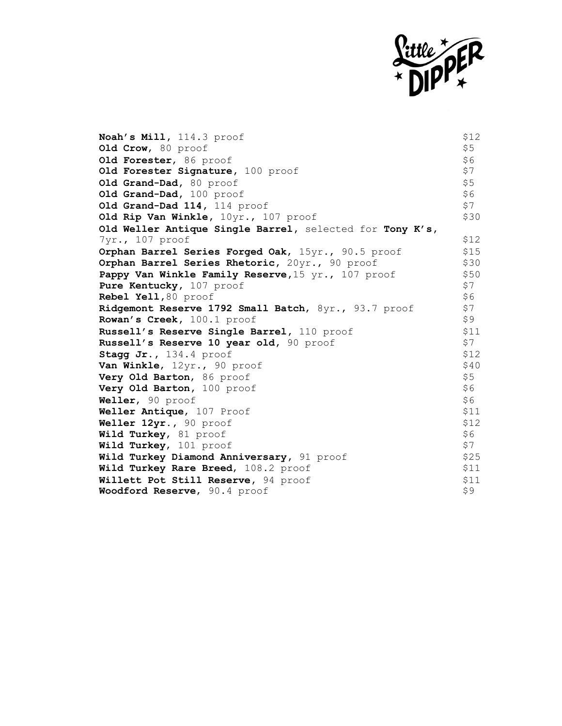

| Noah's Mill, 114.3 proof                                 | \$12 |
|----------------------------------------------------------|------|
| Old Crow, 80 proof                                       | \$5  |
| Old Forester, 86 proof                                   | \$6  |
| Old Forester Signature, 100 proof                        | \$7  |
| Old Grand-Dad, 80 proof                                  | \$5  |
| Old Grand-Dad, 100 proof                                 | \$6  |
| Old Grand-Dad 114, 114 proof                             | \$7  |
| Old Rip Van Winkle, 10yr., 107 proof                     | \$30 |
| Old Weller Antique Single Barrel, selected for Tony K's, |      |
| 7yr., 107 proof                                          | \$12 |
| Orphan Barrel Series Forged Oak, 15yr., 90.5 proof       | \$15 |
| Orphan Barrel Series Rhetoric, 20yr., 90 proof           | \$30 |
| Pappy Van Winkle Family Reserve, 15 yr., 107 proof       | \$50 |
| Pure Kentucky, 107 proof                                 | \$7  |
| Rebel Yell, 80 proof                                     | \$6  |
| Ridgemont Reserve 1792 Small Batch, 8yr., 93.7 proof     | \$7  |
| Rowan's Creek, 100.1 proof                               | \$9  |
| Russell's Reserve Single Barrel, 110 proof               | \$11 |
| Russell's Reserve 10 year old, 90 proof                  | \$7  |
| Stagg Jr., 134.4 proof                                   | \$12 |
| Van Winkle, 12yr., 90 proof                              | \$40 |
| Very Old Barton, 86 proof                                | \$5  |
| Very Old Barton, 100 proof                               | \$6  |
| Weller, 90 proof                                         | \$6  |
| Weller Antique, 107 Proof                                | \$11 |
| Weller 12yr., 90 proof                                   | \$12 |
| Wild Turkey, 81 proof                                    | \$6  |
| Wild Turkey, 101 proof                                   | \$7  |
| Wild Turkey Diamond Anniversary, 91 proof                | \$25 |
| Wild Turkey Rare Breed, 108.2 proof                      | \$11 |
| Willett Pot Still Reserve, 94 proof                      | \$11 |
| Woodford Reserve, 90.4 proof                             | \$9  |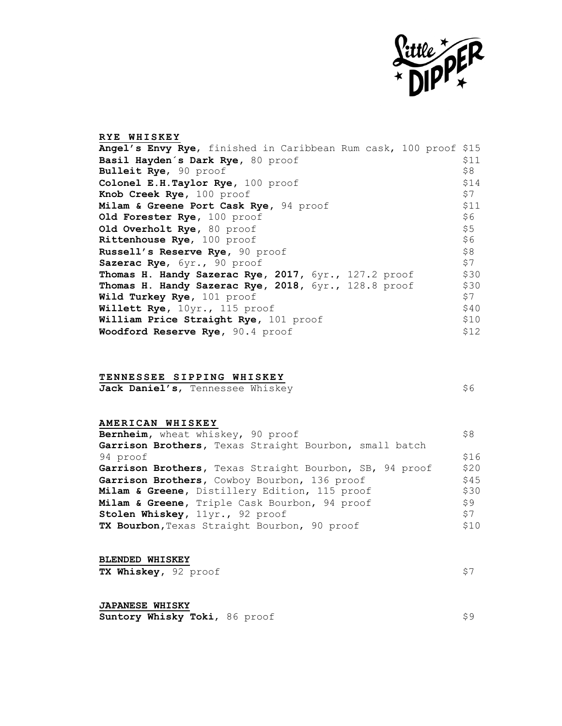

| RYE WHISKEY                                                      |      |
|------------------------------------------------------------------|------|
| Angel's Envy Rye, finished in Caribbean Rum cask, 100 proof \$15 |      |
| Basil Hayden's Dark Rye, 80 proof                                | \$11 |
| <b>Bulleit Rye, 90 proof</b>                                     | \$8  |
| Colonel E.H. Taylor Rye, 100 proof                               | \$14 |
| Knob Creek Rye, 100 proof                                        | \$7  |
| Milam & Greene Port Cask Rye, 94 proof                           | \$11 |
| Old Forester Rye, 100 proof                                      | \$6  |
| Old Overholt Rye, 80 proof                                       | \$5  |
| Rittenhouse Rye, 100 proof                                       | \$6  |
| Russell's Reserve Rye, 90 proof                                  | \$8  |
| Sazerac Rye, 6yr., 90 proof                                      | \$7  |
| Thomas H. Handy Sazerac Rye, 2017, 6yr., 127.2 proof             | \$30 |
| Thomas H. Handy Sazerac Rye, 2018, 6yr., 128.8 proof             | \$30 |
| Wild Turkey Rye, 101 proof                                       | \$7  |
| Willett Rye, 10yr., 115 proof                                    | \$40 |
| William Price Straight Rye, 101 proof                            | \$10 |
| Woodford Reserve Rye, 90.4 proof                                 | \$12 |

#### **TENNESSEE SIPPING WHISKEY**

**Jack Daniel's,** Tennessee Whiskey **\$6** 

#### **AMERICAN WHISKEY**

| Bernheim, wheat whiskey, 90 proof                       | \$8  |
|---------------------------------------------------------|------|
| Garrison Brothers, Texas Straight Bourbon, small batch  |      |
| 94 proof                                                | \$16 |
| Garrison Brothers, Texas Straight Bourbon, SB, 94 proof | \$20 |
| Garrison Brothers, Cowboy Bourbon, 136 proof            | \$45 |
| Milam & Greene, Distillery Edition, 115 proof           | \$30 |
| Milam & Greene, Triple Cask Bourbon, 94 proof           | 59   |
| Stolen Whiskey, 11yr., 92 proof                         | \$7  |
| TX Bourbon, Texas Straight Bourbon, 90 proof            | \$10 |

# **BLENDED WHISKEY**

**TX Whiskey, 92** proof \$7

## **JAPANESE WHISKY**

**Suntory Whisky Toki**, 86 proof \$9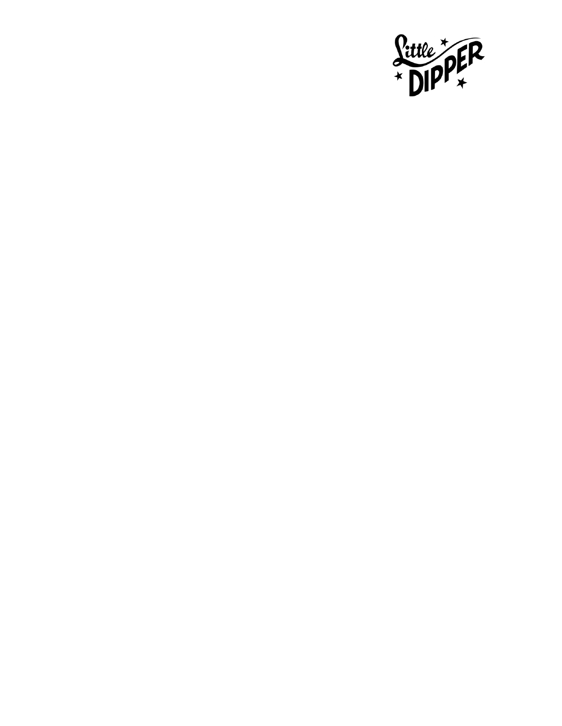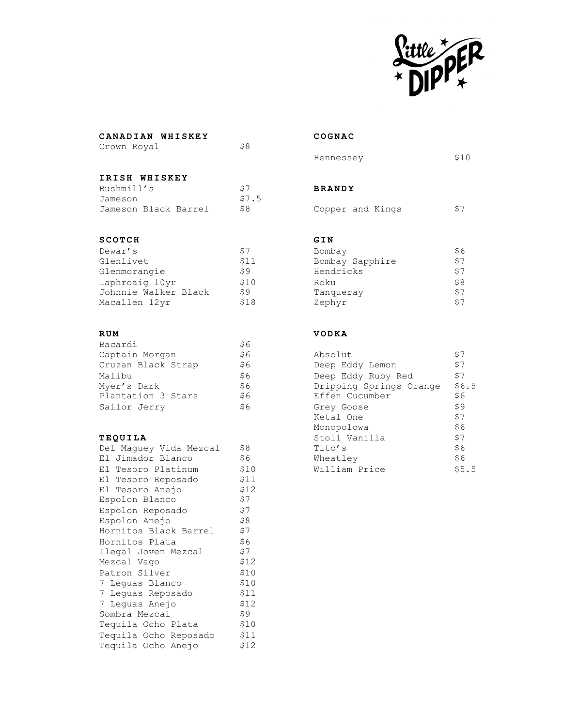

| CANADIAN WHISKEY                            | \$8        | COGNAC                  |            |
|---------------------------------------------|------------|-------------------------|------------|
| Crown Royal                                 |            | Hennessey               | \$10       |
| IRISH WHISKEY                               |            |                         |            |
| Bushmill's                                  | \$7        | <b>BRANDY</b>           |            |
| Jameson                                     | \$7.5      |                         |            |
| Jameson Black Barrel                        | \$8        | Copper and Kings        | \$7        |
| SCOTCH                                      |            | GIN                     |            |
| Dewar's                                     | \$7        | Bombay                  | \$6        |
| Glenlivet                                   | \$11       | Bombay Sapphire         | \$7        |
| Glenmorangie                                | \$9        | Hendricks               | \$7        |
| Laphroaig 10yr                              | \$10       | Roku                    | \$8        |
| Johnnie Walker Black                        | \$9        | Tanqueray               | \$7        |
| Macallen 12yr                               | \$18       | Zephyr                  | \$7        |
| RUM                                         |            | VODKA                   |            |
| Bacardi                                     | \$6        |                         |            |
| Captain Morgan                              | \$6        | Absolut                 | \$7        |
| Cruzan Black Strap                          | \$6        | Deep Eddy Lemon         | \$7        |
| Malibu                                      | \$6        | Deep Eddy Ruby Red      | \$7        |
| Myer's Dark                                 | \$6        | Dripping Springs Orange | \$6.5      |
| Plantation 3 Stars                          | \$6        | Effen Cucumber          | \$6        |
| Sailor Jerry                                | \$6        | Grey Goose              | \$9        |
|                                             |            | Ketal One               | \$7        |
|                                             |            | Monopolowa              | \$6        |
| TEQUILA                                     |            | Stoli Vanilla           | \$7        |
| Del Maguey Vida Mezcal<br>El Jimador Blanco | \$8<br>\$6 | Tito's<br>Wheatley      | \$6<br>\$6 |
| El Tesoro Platinum                          | \$10       | William Price           | \$5.5      |
| El Tesoro Reposado                          | \$11       |                         |            |
| El Tesoro Anejo                             | \$12       |                         |            |
| Espolon Blanco                              | \$7        |                         |            |
| Espolon Reposado                            | \$7        |                         |            |
| Espolon Anejo                               | \$8        |                         |            |
| Hornitos Black Barrel                       | \$7        |                         |            |
| Hornitos Plata                              | \$6        |                         |            |
| Ilegal Joven Mezcal                         | \$7        |                         |            |
| Mezcal Vago                                 | \$12       |                         |            |
| Patron Silver                               | \$10       |                         |            |
| 7 Leguas Blanco                             | \$10       |                         |            |
| 7 Leguas Reposado                           | \$11       |                         |            |
| 7 Leguas Anejo                              | \$12       |                         |            |
| Sombra Mezcal                               | \$9        |                         |            |
| Tequila Ocho Plata                          | \$10       |                         |            |

Tequila Ocho Reposado \$11 Tequila Ocho Anejo  $$12$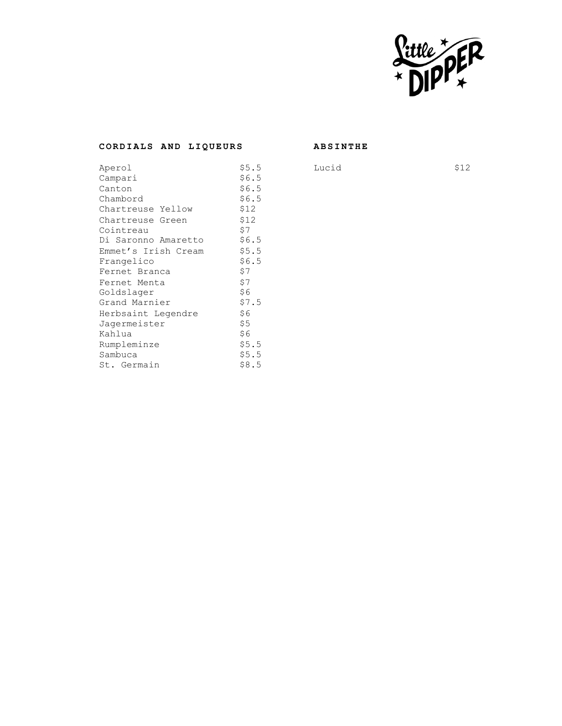

# **CORDIALS AND LIQUEURS**

| Aperol              | \$5.5 |
|---------------------|-------|
| Campari             | \$6.5 |
| Canton              | \$6.5 |
| Chambord            | \$6.5 |
| Chartreuse Yellow   | \$12  |
| Chartreuse Green    | \$12  |
| Cointreau           | \$7   |
| Di Saronno Amaretto | \$6.5 |
| Emmet's Irish Cream | \$5.5 |
| Frangelico          | \$6.5 |
| Fernet Branca       | \$7   |
| Fernet Menta        | \$7   |
| Goldslager          | \$6   |
| Grand Marnier       | \$7.5 |
| Herbsaint Legendre  | \$6   |
| Jagermeister        | \$5   |
| Kahlua              | \$6   |
| Rumpleminze         | \$5.5 |
| Sambuca             | \$5.5 |
| St. Germain         | \$8.5 |

## **ABSINTHE**

Lucid

\$12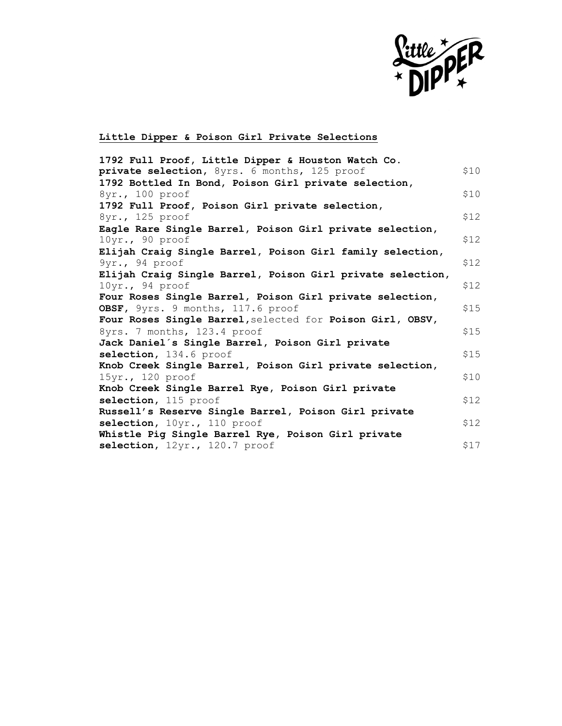

# **Little Dipper & Poison Girl Private Selections**

| 1792 Full Proof, Little Dipper & Houston Watch Co.         |      |
|------------------------------------------------------------|------|
| private selection, 8yrs. 6 months, 125 proof               | \$10 |
| 1792 Bottled In Bond, Poison Girl private selection,       |      |
| 8yr., 100 proof                                            | \$10 |
| 1792 Full Proof, Poison Girl private selection,            |      |
| $8yr.$ , 125 proof                                         | \$12 |
| Eagle Rare Single Barrel, Poison Girl private selection,   |      |
| 10yr., 90 proof                                            | \$12 |
| Elijah Craig Single Barrel, Poison Girl family selection,  |      |
| 9yr., 94 proof                                             | \$12 |
| Elijah Craig Single Barrel, Poison Girl private selection, |      |
| $10yr.$ , 94 proof                                         | \$12 |
| Four Roses Single Barrel, Poison Girl private selection,   |      |
| OBSF, 9yrs. 9 months, 117.6 proof                          | \$15 |
| Four Roses Single Barrel, selected for Poison Girl, OBSV,  |      |
| 8yrs. 7 months, 123.4 proof                                | \$15 |
| Jack Daniel's Single Barrel, Poison Girl private           |      |
| selection, 134.6 proof                                     | \$15 |
| Knob Creek Single Barrel, Poison Girl private selection,   |      |
| 15yr., 120 proof                                           | \$10 |
| Knob Creek Single Barrel Rye, Poison Girl private          |      |
| selection, 115 proof                                       | \$12 |
| Russell's Reserve Single Barrel, Poison Girl private       |      |
| selection, 10yr., 110 proof                                | \$12 |
| Whistle Pig Single Barrel Rye, Poison Girl private         |      |
| selection, 12yr., 120.7 proof                              | \$17 |